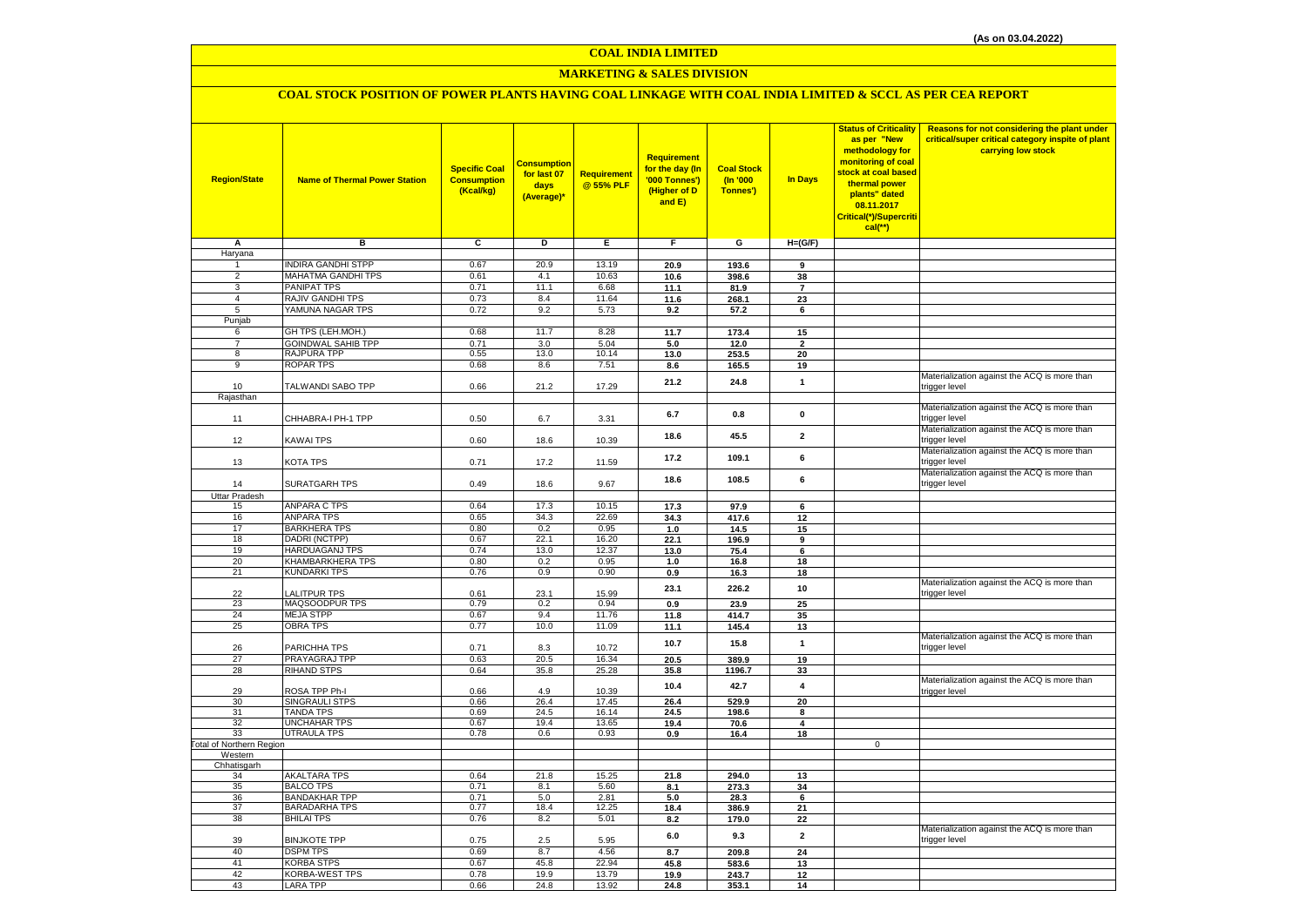# **MARKETING & SALES DIVISION**

# **COAL STOCK POSITION OF POWER PLANTS HAVING COAL LINKAGE WITH COAL INDIA LIMITED & SCCL AS PER CEA REPORT**

| <b>Region/State</b>              | <b>Name of Thermal Power Station</b>         | <b>Specific Coal</b><br><b>Consumption</b><br>(Kcal/kg) | <mark>Consumption</mark><br>for last 07<br>days<br>(Average)* | Requirement<br>@ 55% PLF | Requirement<br>for the day (In<br>'000 Tonnes')<br>(Higher of D<br>and E) | <b>Coal Stock</b><br>(n'000)<br>Tonnes') | In Days        | <b>Status of Criticality</b><br>as per "New<br>methodology for<br>monitoring of coal<br>stock at coal based<br>thermal power<br>plants" dated<br>08.11.2017<br>Critical(*)/Supercriti<br>$cal$ (**) | Reasons for not considering the plant under<br>critical/super critical category inspite of plant<br>carrying low stock |
|----------------------------------|----------------------------------------------|---------------------------------------------------------|---------------------------------------------------------------|--------------------------|---------------------------------------------------------------------------|------------------------------------------|----------------|-----------------------------------------------------------------------------------------------------------------------------------------------------------------------------------------------------|------------------------------------------------------------------------------------------------------------------------|
| Α                                | в                                            | c                                                       | D                                                             | Е                        | F.                                                                        | G                                        | $H=(G/F)$      |                                                                                                                                                                                                     |                                                                                                                        |
| Haryana                          |                                              |                                                         |                                                               |                          |                                                                           |                                          |                |                                                                                                                                                                                                     |                                                                                                                        |
| 1                                | <b>INDIRA GANDHI STPP</b>                    | 0.67                                                    | 20.9                                                          | 13.19                    | 20.9                                                                      | 193.6                                    | 9              |                                                                                                                                                                                                     |                                                                                                                        |
| $\overline{2}$                   | MAHATMA GANDHI TPS                           | 0.61                                                    | 4.1                                                           | 10.63                    | 10.6                                                                      | 398.6                                    | 38             |                                                                                                                                                                                                     |                                                                                                                        |
| $\overline{3}$<br>$\overline{4}$ | PANIPAT TPS<br>RAJIV GANDHI TPS              | 0.71<br>0.73                                            | 11.1<br>8.4                                                   | 6.68<br>11.64            | 11.1                                                                      | 81.9                                     | $\overline{7}$ |                                                                                                                                                                                                     |                                                                                                                        |
| 5                                | YAMUNA NAGAR TPS                             | 0.72                                                    | 9.2                                                           | 5.73                     | 11.6                                                                      | 268.1                                    | 23<br>6        |                                                                                                                                                                                                     |                                                                                                                        |
| Punjab                           |                                              |                                                         |                                                               |                          | 9.2                                                                       | 57.2                                     |                |                                                                                                                                                                                                     |                                                                                                                        |
| 6                                | GH TPS (LEH.MOH.)                            | 0.68                                                    | 11.7                                                          | 8.28                     | 11.7                                                                      | 173.4                                    | 15             |                                                                                                                                                                                                     |                                                                                                                        |
| $\overline{7}$                   | <b>GOINDWAL SAHIB TPP</b>                    | 0.71                                                    | 3.0                                                           | 5.04                     | 5.0                                                                       | 12.0                                     | $\overline{2}$ |                                                                                                                                                                                                     |                                                                                                                        |
| 8                                | RAJPURA TPP                                  | 0.55                                                    | 13.0                                                          | 10.14                    | 13.0                                                                      | 253.5                                    | 20             |                                                                                                                                                                                                     |                                                                                                                        |
| $\overline{9}$                   | <b>ROPAR TPS</b>                             | 0.68                                                    | 8.6                                                           | 7.51                     | 8.6                                                                       | 165.5                                    | 19             |                                                                                                                                                                                                     |                                                                                                                        |
|                                  |                                              |                                                         |                                                               |                          | 21.2                                                                      | 24.8                                     | $\mathbf{1}$   |                                                                                                                                                                                                     | Materialization against the ACQ is more than                                                                           |
| 10                               | TALWANDI SABO TPP                            | 0.66                                                    | 21.2                                                          | 17.29                    |                                                                           |                                          |                |                                                                                                                                                                                                     | trigger level                                                                                                          |
| Rajasthan                        |                                              |                                                         |                                                               |                          |                                                                           |                                          |                |                                                                                                                                                                                                     | Materialization against the ACQ is more than                                                                           |
|                                  | CHHABRA-I PH-1 TPP                           | 0.50                                                    |                                                               |                          | 6.7                                                                       | 0.8                                      | $\mathbf 0$    |                                                                                                                                                                                                     | trigger level                                                                                                          |
| 11                               |                                              |                                                         | 6.7                                                           | 3.31                     |                                                                           |                                          |                |                                                                                                                                                                                                     | Materialization against the ACQ is more than                                                                           |
| 12                               | KAWAI TPS                                    | 0.60                                                    | 18.6                                                          | 10.39                    | 18.6                                                                      | 45.5                                     | $\overline{2}$ |                                                                                                                                                                                                     | trigger level                                                                                                          |
|                                  |                                              |                                                         |                                                               |                          |                                                                           |                                          |                |                                                                                                                                                                                                     | Materialization against the ACQ is more than                                                                           |
| 13                               | KOTA TPS                                     | 0.71                                                    | 17.2                                                          | 11.59                    | 17.2                                                                      | 109.1                                    | 6              |                                                                                                                                                                                                     | trigger level                                                                                                          |
|                                  |                                              |                                                         |                                                               |                          | 18.6                                                                      | 108.5                                    | 6              |                                                                                                                                                                                                     | Materialization against the ACQ is more than                                                                           |
| 14                               | <b>SURATGARH TPS</b>                         | 0.49                                                    | 18.6                                                          | 9.67                     |                                                                           |                                          |                |                                                                                                                                                                                                     | trigger level                                                                                                          |
| <b>Uttar Pradesh</b>             |                                              |                                                         |                                                               |                          |                                                                           |                                          |                |                                                                                                                                                                                                     |                                                                                                                        |
| 15                               | <b>ANPARA C TPS</b>                          | 0.64                                                    | 17.3                                                          | 10.15                    | 17.3                                                                      | 97.9                                     | 6              |                                                                                                                                                                                                     |                                                                                                                        |
| 16<br>17                         | <b>ANPARA TPS</b><br><b>BARKHERA TPS</b>     | 0.65<br>0.80                                            | 34.3<br>0.2                                                   | 22.69<br>0.95            | 34.3                                                                      | 417.6<br>14.5                            | 12             |                                                                                                                                                                                                     |                                                                                                                        |
| 18                               | DADRI (NCTPP)                                | 0.67                                                    | 22.1                                                          | 16.20                    | 1.0<br>22.1                                                               | 196.9                                    | 15<br>9        |                                                                                                                                                                                                     |                                                                                                                        |
| 19                               | HARDUAGANJ TPS                               | 0.74                                                    | 13.0                                                          | 12.37                    | 13.0                                                                      | 75.4                                     | 6              |                                                                                                                                                                                                     |                                                                                                                        |
| 20                               | KHAMBARKHERA TPS                             | 0.80                                                    | 0.2                                                           | 0.95                     | 1.0                                                                       | 16.8                                     | 18             |                                                                                                                                                                                                     |                                                                                                                        |
| 21                               | <b>KUNDARKI TPS</b>                          | 0.76                                                    | 0.9                                                           | 0.90                     | 0.9                                                                       | 16.3                                     | 18             |                                                                                                                                                                                                     |                                                                                                                        |
|                                  |                                              |                                                         |                                                               |                          | 23.1                                                                      | 226.2                                    | 10             |                                                                                                                                                                                                     | Materialization against the ACQ is more than                                                                           |
| 22                               | <b>ALITPUR TPS</b>                           | 0.61                                                    | 23.1                                                          | 15.99                    |                                                                           |                                          |                |                                                                                                                                                                                                     | trigger level                                                                                                          |
| 23                               | MAQSOODPUR TPS                               | 0.79                                                    | 0.2                                                           | 0.94                     | 0.9                                                                       | 23.9                                     | 25             |                                                                                                                                                                                                     |                                                                                                                        |
| 24                               | <b>MEJA STPP</b>                             | 0.67<br>0.77                                            | 9.4                                                           | 11.76                    | 11.8                                                                      | 414.7                                    | 35             |                                                                                                                                                                                                     |                                                                                                                        |
| 25                               | <b>OBRA TPS</b>                              |                                                         | 10.0                                                          | 11.09                    | 11.1                                                                      | 145.4                                    | 13             |                                                                                                                                                                                                     | Materialization against the ACQ is more than                                                                           |
| 26                               | PARICHHA TPS                                 | 0.71                                                    | 8.3                                                           | 10.72                    | 10.7                                                                      | 15.8                                     | $\mathbf{1}$   |                                                                                                                                                                                                     | trigger level                                                                                                          |
| 27                               | PRAYAGRAJ TPP                                | 0.63                                                    | 20.5                                                          | 16.34                    | 20.5                                                                      | 389.9                                    | 19             |                                                                                                                                                                                                     |                                                                                                                        |
| 28                               | <b>RIHAND STPS</b>                           | 0.64                                                    | 35.8                                                          | 25.28                    | 35.8                                                                      | 1196.7                                   | 33             |                                                                                                                                                                                                     |                                                                                                                        |
|                                  |                                              |                                                         |                                                               |                          | 10.4                                                                      | 42.7                                     | $\overline{4}$ |                                                                                                                                                                                                     | Materialization against the ACQ is more than                                                                           |
| 29                               | ROSA TPP Ph-I                                | 0.66                                                    | 4.9                                                           | 10.39                    |                                                                           |                                          |                |                                                                                                                                                                                                     | trigger level                                                                                                          |
| 30                               | SINGRAULI STPS                               | 0.66                                                    | 26.4                                                          | 17.45                    | 26.4                                                                      | 529.9                                    | 20             |                                                                                                                                                                                                     |                                                                                                                        |
| 31<br>32                         | <b>TANDA TPS</b><br>UNCHAHAR TPS             | 0.69<br>0.67                                            | 24.5<br>19.4                                                  | 16.14<br>13.65           | 24.5<br>19.4                                                              | 198.6<br>70.6                            | 8<br>4         |                                                                                                                                                                                                     |                                                                                                                        |
| 33                               | <b>UTRAULA TPS</b>                           | 0.78                                                    | 0.6                                                           | 0.93                     | 0.9                                                                       | 16.4                                     | 18             |                                                                                                                                                                                                     |                                                                                                                        |
| Total of Northern Region         |                                              |                                                         |                                                               |                          |                                                                           |                                          |                | $\mathbf 0$                                                                                                                                                                                         |                                                                                                                        |
| Western                          |                                              |                                                         |                                                               |                          |                                                                           |                                          |                |                                                                                                                                                                                                     |                                                                                                                        |
| Chhatisgarh                      |                                              |                                                         |                                                               |                          |                                                                           |                                          |                |                                                                                                                                                                                                     |                                                                                                                        |
| 34                               | <b>AKALTARA TPS</b>                          | 0.64                                                    | 21.8                                                          | 15.25                    | 21.8                                                                      | 294.0                                    | 13             |                                                                                                                                                                                                     |                                                                                                                        |
| 35                               | <b>BALCO TPS</b>                             | 0.71                                                    | 8.1                                                           | 5.60                     | 8.1<br>5.0                                                                | 273.3                                    | 34             |                                                                                                                                                                                                     |                                                                                                                        |
| 36<br>37                         | <b>BANDAKHAR TPP</b><br><b>BARADARHA TPS</b> | 0.71<br>0.77                                            | 5.0<br>18.4                                                   | 2.81<br>12.25            | 18.4                                                                      | 28.3<br>386.9                            | 6<br>21        |                                                                                                                                                                                                     |                                                                                                                        |
| 38                               | <b>BHILAI TPS</b>                            | 0.76                                                    | 8.2                                                           | 5.01                     | 8.2                                                                       | 179.0                                    | 22             |                                                                                                                                                                                                     |                                                                                                                        |
|                                  |                                              |                                                         |                                                               |                          |                                                                           |                                          |                |                                                                                                                                                                                                     | Materialization against the ACQ is more than                                                                           |
| 39                               | <b>BINJKOTE TPP</b>                          | 0.75                                                    | 2.5                                                           | 5.95                     | 6.0                                                                       | 9.3                                      | $\mathbf{2}$   |                                                                                                                                                                                                     | trigger level                                                                                                          |
| 40                               | <b>DSPM TPS</b>                              | 0.69                                                    | 8.7                                                           | 4.56                     | 8.7                                                                       | 209.8                                    | 24             |                                                                                                                                                                                                     |                                                                                                                        |
| 41                               | <b>KORBA STPS</b>                            | 0.67                                                    | 45.8                                                          | 22.94                    | 45.8                                                                      | 583.6                                    | 13             |                                                                                                                                                                                                     |                                                                                                                        |
| 42                               | KORBA-WEST TPS                               | 0.78                                                    | 19.9                                                          | 13.79                    | 19.9                                                                      | 243.7                                    | 12             |                                                                                                                                                                                                     |                                                                                                                        |
| 43                               | LARA TPP                                     | 0.66                                                    | 24.8                                                          | 13.92                    | 24.8                                                                      | 353.1                                    | 14             |                                                                                                                                                                                                     |                                                                                                                        |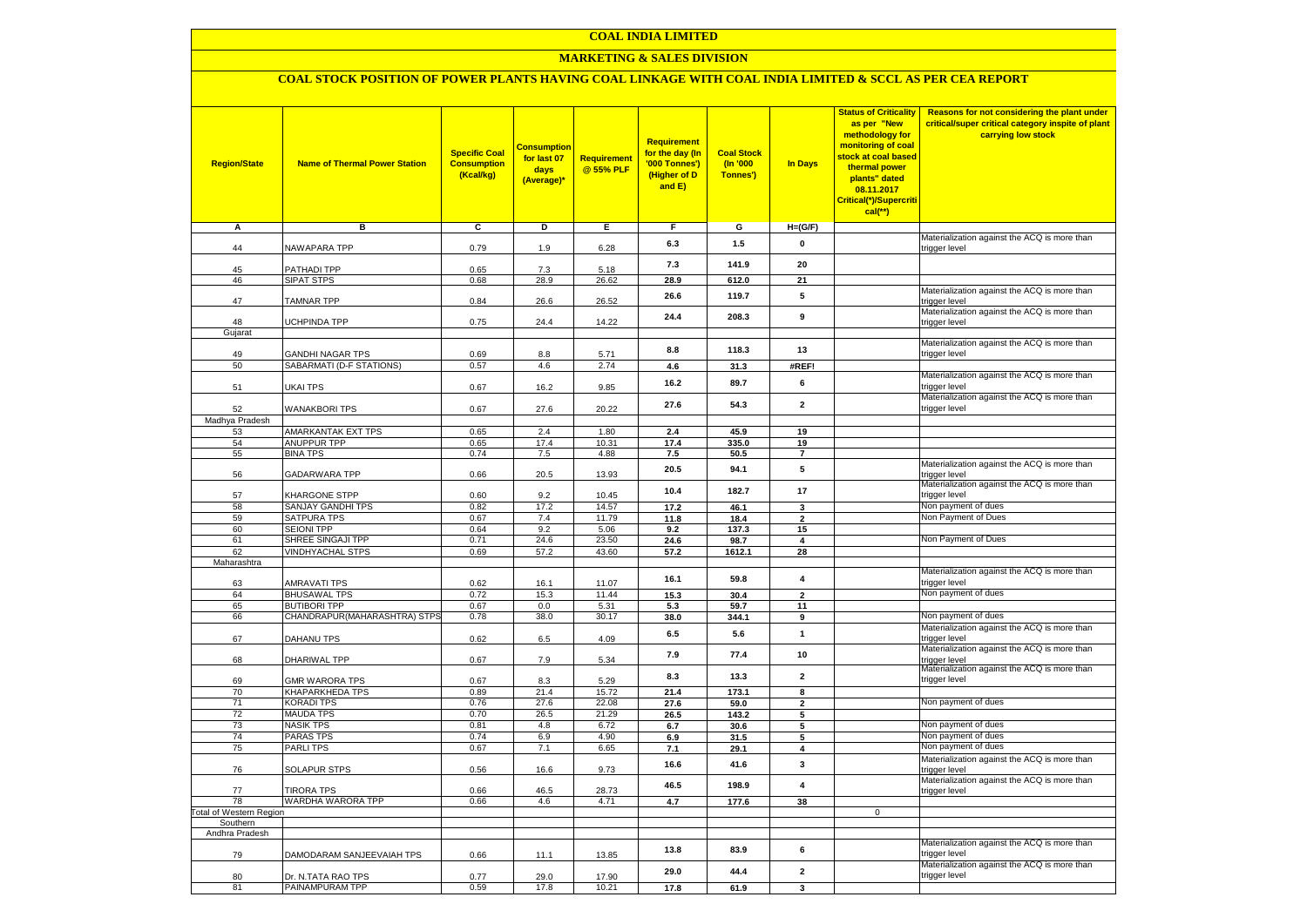### **MARKETING & SALES DIVISION**

### **COAL STOCK POSITION OF POWER PLANTS HAVING COAL LINKAGE WITH COAL INDIA LIMITED & SCCL AS PER CEA REPORT**

| <b>Region/State</b>    | <b>Name of Thermal Power Station</b>                | <b>Specific Coal</b><br><b>Consumption</b><br>(Kcal/kg) | <mark>Consumption</mark><br>for last 07<br>days<br>(Average)* | <b>Requirement</b><br>@ 55% PLF | <b>Requirement</b><br>for the day (In<br>'000 Tonnes')<br>(Higher of D<br>and E) | <b>Coal Stock</b><br>(In '000<br>Tonnes') | <b>In Days</b>                | <b>Status of Criticality</b><br>as per "New<br>methodology for<br>monitoring of coal<br>stock at coal based<br>thermal power<br>plants" dated<br>08.11.2017<br>Critical(*)/Supercriti<br>$cal$ (**) | Reasons for not considering the plant under<br>critical/super critical category inspite of plant<br>carrying low stock |
|------------------------|-----------------------------------------------------|---------------------------------------------------------|---------------------------------------------------------------|---------------------------------|----------------------------------------------------------------------------------|-------------------------------------------|-------------------------------|-----------------------------------------------------------------------------------------------------------------------------------------------------------------------------------------------------|------------------------------------------------------------------------------------------------------------------------|
| Α                      | в                                                   | c                                                       | Þ                                                             | Е                               | F                                                                                | G                                         | $H=(G/F)$                     |                                                                                                                                                                                                     |                                                                                                                        |
|                        | <b>NAWAPARA TPP</b>                                 | 0.79                                                    |                                                               | 6.28                            | 6.3                                                                              | 1.5                                       | 0                             |                                                                                                                                                                                                     | Materialization against the ACQ is more than                                                                           |
| 44                     |                                                     |                                                         | 1.9                                                           |                                 |                                                                                  |                                           |                               |                                                                                                                                                                                                     | trigger level                                                                                                          |
| 45                     | <b>PATHADI TPP</b>                                  | 0.65                                                    | 7.3                                                           | 5.18                            | 7.3                                                                              | 141.9                                     | 20                            |                                                                                                                                                                                                     |                                                                                                                        |
| 46                     | SIPAT STPS                                          | 0.68                                                    | 28.9                                                          | 26.62                           | 28.9                                                                             | 612.0                                     | 21                            |                                                                                                                                                                                                     |                                                                                                                        |
| 47                     | <b>TAMNAR TPP</b>                                   | 0.84                                                    | 26.6                                                          | 26.52                           | 26.6                                                                             | 119.7                                     | 5                             |                                                                                                                                                                                                     | Materialization against the ACQ is more than<br>trigger level                                                          |
|                        |                                                     |                                                         |                                                               |                                 | 24.4                                                                             | 208.3                                     | 9                             |                                                                                                                                                                                                     | Materialization against the ACQ is more than                                                                           |
| 48<br>Gujarat          | <b>JCHPINDA TPP</b>                                 | 0.75                                                    | 24.4                                                          | 14.22                           |                                                                                  |                                           |                               |                                                                                                                                                                                                     | trigger level                                                                                                          |
|                        |                                                     |                                                         |                                                               |                                 |                                                                                  |                                           |                               |                                                                                                                                                                                                     | Materialization against the ACQ is more than                                                                           |
| 49                     | <b>GANDHI NAGAR TPS</b>                             | 0.69                                                    | 8.8                                                           | 5.71                            | 8.8                                                                              | 118.3                                     | 13                            |                                                                                                                                                                                                     | trigger level                                                                                                          |
| 50                     | SABARMATI (D-F STATIONS)                            | 0.57                                                    | 4.6                                                           | 2.74                            | 4.6                                                                              | 31.3                                      | #REF!                         |                                                                                                                                                                                                     |                                                                                                                        |
| 51                     | UKAI TPS                                            | 0.67                                                    | 16.2                                                          | 9.85                            | 16.2                                                                             | 89.7                                      | 6                             |                                                                                                                                                                                                     | Materialization against the ACQ is more than<br>trigger level                                                          |
| 52                     | <b>WANAKBORI TPS</b>                                | 0.67                                                    | 27.6                                                          | 20.22                           | 27.6                                                                             | 54.3                                      | $\overline{\mathbf{2}}$       |                                                                                                                                                                                                     | Materialization against the ACQ is more than<br>trigger level                                                          |
| Madhya Pradesh         |                                                     |                                                         |                                                               |                                 |                                                                                  |                                           |                               |                                                                                                                                                                                                     |                                                                                                                        |
| 53<br>54               | AMARKANTAK EXT TPS<br><b>ANUPPUR TPP</b>            | 0.65<br>0.65                                            | 2.4<br>17.4                                                   | 1.80<br>10.31                   | 2.4<br>17.4                                                                      | 45.9<br>335.0                             | 19<br>19                      |                                                                                                                                                                                                     |                                                                                                                        |
| 55                     | <b>BINA TPS</b>                                     | 0.74                                                    | 7.5                                                           | 4.88                            | 7.5                                                                              | 50.5                                      | $\overline{7}$                |                                                                                                                                                                                                     |                                                                                                                        |
| 56                     | GADARWARA TPP                                       | 0.66                                                    | 20.5                                                          | 13.93                           | 20.5                                                                             | 94.1                                      | 5                             |                                                                                                                                                                                                     | Materialization against the ACQ is more than<br>trigger level                                                          |
| 57                     | KHARGONE STPP                                       | 0.60                                                    | 9.2                                                           | 10.45                           | 10.4                                                                             | 182.7                                     | 17                            |                                                                                                                                                                                                     | Materialization against the ACQ is more than<br>trigger level                                                          |
| 58                     | SANJAY GANDHI TPS                                   | 0.82                                                    | 17.2                                                          | 14.57                           | 17.2                                                                             | 46.1                                      | 3                             |                                                                                                                                                                                                     | Non payment of dues                                                                                                    |
| 59                     | SATPURA TPS                                         | 0.67                                                    | 7.4                                                           | 11.79                           | 11.8                                                                             | 18.4                                      | $\overline{2}$                |                                                                                                                                                                                                     | Non Payment of Dues                                                                                                    |
| 60                     | <b>SEIONI TPP</b>                                   | 0.64                                                    | 9.2                                                           | 5.06                            | 9.2                                                                              | 137.3                                     | 15                            |                                                                                                                                                                                                     |                                                                                                                        |
| 61<br>62               | SHREE SINGAJI TPP<br><b>VINDHYACHAL STPS</b>        | 0.71<br>0.69                                            | 24.6                                                          | 23.50<br>43.60                  | 24.6<br>57.2                                                                     | 98.7                                      | $\overline{\mathbf{4}}$<br>28 |                                                                                                                                                                                                     | Non Payment of Dues                                                                                                    |
| Maharashtra            |                                                     |                                                         | 57.2                                                          |                                 |                                                                                  | 1612.1                                    |                               |                                                                                                                                                                                                     |                                                                                                                        |
|                        |                                                     |                                                         |                                                               |                                 |                                                                                  |                                           | $\overline{\mathbf{4}}$       |                                                                                                                                                                                                     | Materialization against the ACQ is more than                                                                           |
| 63                     | AMRAVATI TPS                                        | 0.62                                                    | 16.1                                                          | 11.07                           | 16.1                                                                             | 59.8                                      |                               |                                                                                                                                                                                                     | trigger level                                                                                                          |
| 64                     | <b>BHUSAWAL TPS</b>                                 | 0.72                                                    | 15.3                                                          | 11.44                           | 15.3                                                                             | 30.4                                      | $\overline{2}$                |                                                                                                                                                                                                     | Non payment of dues                                                                                                    |
| 65<br>66               | <b>BUTIBORI TPP</b><br>CHANDRAPUR(MAHARASHTRA) STPS | 0.67<br>0.78                                            | 0.0<br>38.0                                                   | 5.31<br>30.17                   | 5.3                                                                              | 59.7                                      | 11<br>9                       |                                                                                                                                                                                                     | Non payment of dues                                                                                                    |
|                        |                                                     |                                                         |                                                               |                                 | 38.0                                                                             | 344.1                                     |                               |                                                                                                                                                                                                     | Materialization against the ACQ is more than                                                                           |
| 67                     | <b>DAHANU TPS</b>                                   | 0.62                                                    | 6.5                                                           | 4.09                            | 6.5                                                                              | 5.6                                       | $\mathbf{1}$                  |                                                                                                                                                                                                     | trigger level                                                                                                          |
| 68                     | DHARIWAL TPP                                        | 0.67                                                    | 7.9                                                           | 5.34                            | 7.9                                                                              | 77.4                                      | 10                            |                                                                                                                                                                                                     | Materialization against the ACQ is more than<br>trigger level                                                          |
| 69                     | <b>GMR WARORA TPS</b>                               | 0.67                                                    | 8.3                                                           | 5.29                            | 8.3                                                                              | 13.3                                      | $\overline{\mathbf{2}}$       |                                                                                                                                                                                                     | Materialization against the ACQ is more than<br>trigger level                                                          |
| 70                     | KHAPARKHEDA TPS                                     | 0.89                                                    | 21.4                                                          | 15.72                           | 21.4                                                                             | 173.1                                     | 8                             |                                                                                                                                                                                                     |                                                                                                                        |
| 71                     | KORADI TPS                                          | 0.76                                                    | 27.6                                                          | 22.08                           | 27.6                                                                             | 59.0                                      | $\mathbf{2}$                  |                                                                                                                                                                                                     | Non payment of dues                                                                                                    |
| 72<br>73               | <b>MAUDA TPS</b><br><b>NASIK TPS</b>                | 0.70<br>0.81                                            | 26.5<br>4.8                                                   | 21.29<br>6.72                   | 26.5                                                                             | 143.2                                     | 5                             |                                                                                                                                                                                                     | Non payment of dues                                                                                                    |
| 74                     | <b>PARAS TPS</b>                                    | 0.74                                                    | 6.9                                                           | 4.90                            | 6.7                                                                              | 30.6                                      | 5<br>5                        |                                                                                                                                                                                                     | Non payment of dues                                                                                                    |
| 75                     | <b>PARLITPS</b>                                     | 0.67                                                    | 7.1                                                           | 6.65                            | 6.9<br>7.1                                                                       | 31.5<br>29.1                              | $\overline{4}$                |                                                                                                                                                                                                     | Non payment of dues                                                                                                    |
| 76                     | <b>SOLAPUR STPS</b>                                 | 0.56                                                    | 16.6                                                          | 9.73                            | 16.6                                                                             | 41.6                                      | 3                             |                                                                                                                                                                                                     | Materialization against the ACQ is more than<br>trigger level                                                          |
|                        |                                                     |                                                         |                                                               |                                 | 46.5                                                                             | 198.9                                     | $\overline{\mathbf{4}}$       |                                                                                                                                                                                                     | Materialization against the ACQ is more than                                                                           |
| 77<br>78               | <b>TIRORA TPS</b><br>WARDHA WARORA TPP              | 0.66<br>0.66                                            | 46.5<br>4.6                                                   | 28.73<br>4.71                   | 4.7                                                                              | 177.6                                     | 38                            |                                                                                                                                                                                                     | trigger level                                                                                                          |
| otal of Western Region |                                                     |                                                         |                                                               |                                 |                                                                                  |                                           |                               | $\mathbf 0$                                                                                                                                                                                         |                                                                                                                        |
| Southern               |                                                     |                                                         |                                                               |                                 |                                                                                  |                                           |                               |                                                                                                                                                                                                     |                                                                                                                        |
| Andhra Pradesh         |                                                     |                                                         |                                                               |                                 |                                                                                  |                                           |                               |                                                                                                                                                                                                     | Materialization against the ACQ is more than                                                                           |
| 79                     | DAMODARAM SANJEEVAIAH TPS                           | 0.66                                                    | 11.1                                                          | 13.85                           | 13.8                                                                             | 83.9                                      | 6                             |                                                                                                                                                                                                     | trigger level                                                                                                          |
| 80                     | Dr. N.TATA RAO TPS                                  | 0.77                                                    | 29.0                                                          | 17.90                           | 29.0                                                                             | 44.4                                      | $\overline{\mathbf{2}}$       |                                                                                                                                                                                                     | Materialization against the ACQ is more than<br>trigger level                                                          |
| 81                     | PAINAMPURAM TPP                                     | 0.59                                                    | 17.8                                                          | 10.21                           | 17.8                                                                             | 61.9                                      | 3                             |                                                                                                                                                                                                     |                                                                                                                        |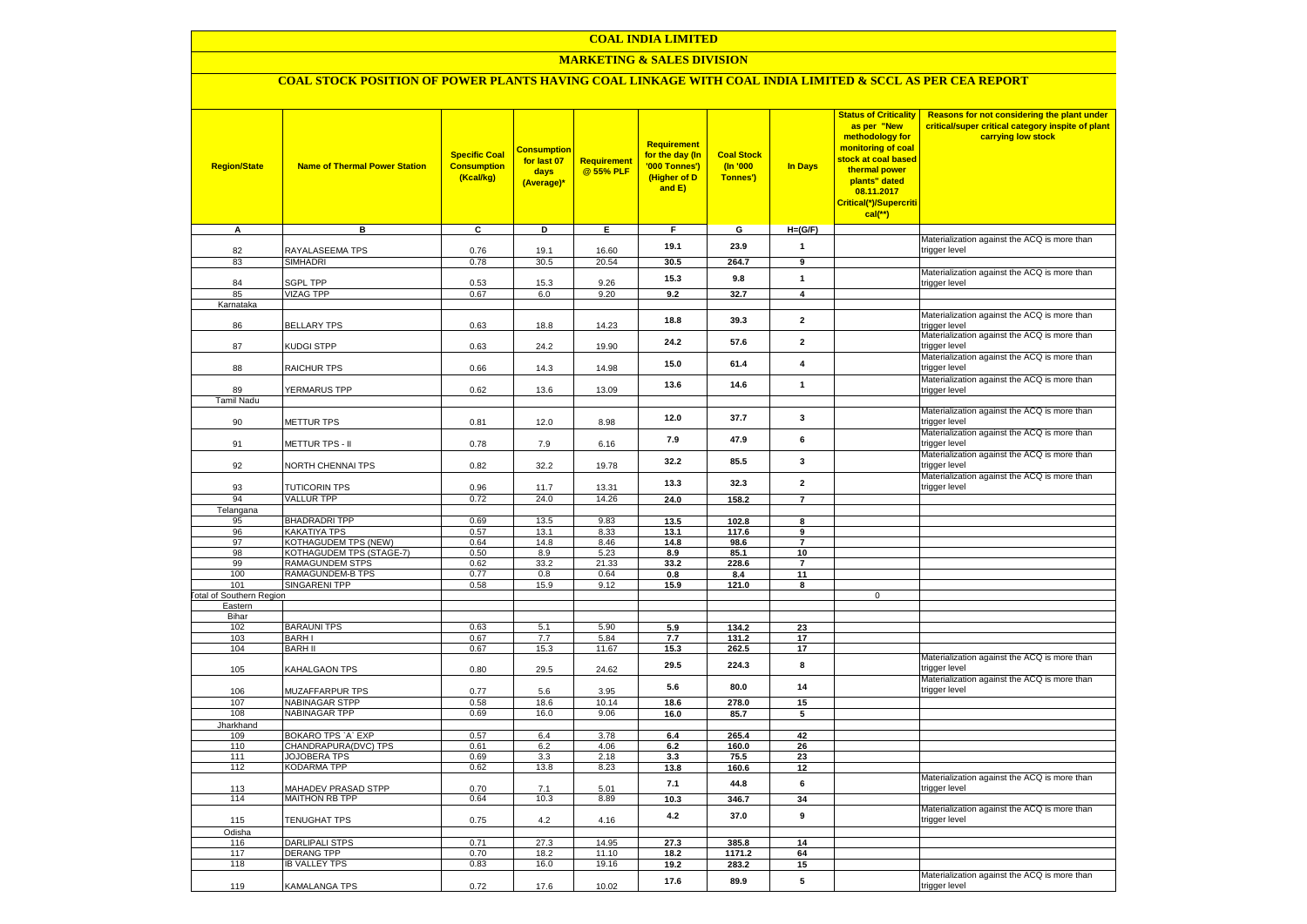### **MARKETING & SALES DIVISION**

# **COAL STOCK POSITION OF POWER PLANTS HAVING COAL LINKAGE WITH COAL INDIA LIMITED & SCCL AS PER CEA REPORT**

| <b>Region/State</b>                        | <b>Name of Thermal Power Station</b>       | <b>Specific Coal</b><br><b>Consumption</b><br>(Kcal/kg) | <b>Consumption</b><br>for last 07<br>days<br>(Average)* | <b>Requirement</b><br>@ 55% PLF | <b>Requirement</b><br>for the day (In<br>'000 Tonnes')<br>(Higher of D<br>and E) | <b>Coal Stock</b><br>$($ ln '000<br>Tonnes') | In Days                 | <b>Status of Criticality</b><br>as per "New<br>methodology for<br>monitoring of coal<br>stock at coal based<br>thermal power<br>plants" dated<br>08.11.2017<br>Critical(*)/Supercriti<br>$cal$ (**) | Reasons for not considering the plant under<br>critical/super critical category inspite of plant<br>carrying low stock |
|--------------------------------------------|--------------------------------------------|---------------------------------------------------------|---------------------------------------------------------|---------------------------------|----------------------------------------------------------------------------------|----------------------------------------------|-------------------------|-----------------------------------------------------------------------------------------------------------------------------------------------------------------------------------------------------|------------------------------------------------------------------------------------------------------------------------|
| A                                          | в                                          | c                                                       | D                                                       | Е                               | F.                                                                               | G                                            | $H=(G/F)$               |                                                                                                                                                                                                     |                                                                                                                        |
| 82                                         | RAYALASEEMA TPS                            | 0.76                                                    | 19.1                                                    | 16.60                           | 19.1                                                                             | 23.9                                         | $\mathbf{1}$            |                                                                                                                                                                                                     | Materialization against the ACQ is more than<br>trigger level                                                          |
| 83                                         | SIMHADRI                                   | 0.78                                                    | 30.5                                                    | 20.54                           | 30.5                                                                             | 264.7                                        | 9                       |                                                                                                                                                                                                     |                                                                                                                        |
|                                            |                                            |                                                         |                                                         |                                 |                                                                                  |                                              |                         |                                                                                                                                                                                                     | Materialization against the ACQ is more than                                                                           |
| 84                                         | <b>SGPL TPP</b>                            | 0.53                                                    | 15.3                                                    | 9.26                            | 15.3                                                                             | 9.8                                          | $\mathbf{1}$            |                                                                                                                                                                                                     | trigger level                                                                                                          |
| 85                                         | <b>VIZAG TPP</b>                           | 0.67                                                    | 6.0                                                     | 9.20                            | 9.2                                                                              | 32.7                                         | $\overline{\mathbf{4}}$ |                                                                                                                                                                                                     |                                                                                                                        |
| Karnataka                                  |                                            |                                                         |                                                         |                                 |                                                                                  |                                              |                         |                                                                                                                                                                                                     | Materialization against the ACQ is more than                                                                           |
| 86                                         | <b>BELLARY TPS</b>                         | 0.63                                                    | 18.8                                                    | 14.23                           | 18.8                                                                             | 39.3                                         | $\mathbf{2}$            |                                                                                                                                                                                                     | trigger level                                                                                                          |
| 87                                         | KUDGI STPP                                 | 0.63                                                    | 24.2                                                    | 19.90                           | 24.2                                                                             | 57.6                                         | $\mathbf{2}$            |                                                                                                                                                                                                     | Materialization against the ACQ is more than<br>trigger level                                                          |
| 88                                         | <b>RAICHUR TPS</b>                         | 0.66                                                    | 14.3                                                    | 14.98                           | 15.0                                                                             | 61.4                                         | $\overline{4}$          |                                                                                                                                                                                                     | Materialization against the ACQ is more than<br>trigger level                                                          |
|                                            |                                            |                                                         |                                                         |                                 | 13.6                                                                             | 14.6                                         | $\mathbf{1}$            |                                                                                                                                                                                                     | Materialization against the ACQ is more than                                                                           |
| 89                                         | <b>YERMARUS TPP</b>                        | 0.62                                                    | 13.6                                                    | 13.09                           |                                                                                  |                                              |                         |                                                                                                                                                                                                     | trigger level                                                                                                          |
| <b>Tamil Nadu</b>                          |                                            |                                                         |                                                         |                                 |                                                                                  |                                              |                         |                                                                                                                                                                                                     | Materialization against the ACQ is more than                                                                           |
| 90                                         | <b>METTUR TPS</b>                          | 0.81                                                    | 12.0                                                    | 8.98                            | 12.0                                                                             | 37.7                                         | 3                       |                                                                                                                                                                                                     | trigger level                                                                                                          |
| 91                                         | METTUR TPS - II                            | 0.78                                                    | 7.9                                                     | 6.16                            | 7.9                                                                              | 47.9                                         | 6                       |                                                                                                                                                                                                     | Materialization against the ACQ is more than<br>trigger level                                                          |
| 92                                         | <b>VORTH CHENNAI TPS</b>                   | 0.82                                                    | 32.2                                                    | 19.78                           | 32.2                                                                             | 85.5                                         | 3                       |                                                                                                                                                                                                     | Materialization against the ACQ is more than<br>trigger level                                                          |
|                                            |                                            |                                                         |                                                         |                                 | 13.3                                                                             | 32.3                                         | $\mathbf{2}$            |                                                                                                                                                                                                     | Materialization against the ACQ is more than                                                                           |
| 93                                         | <b>TUTICORIN TPS</b>                       | 0.96                                                    | 11.7                                                    | 13.31                           |                                                                                  |                                              |                         |                                                                                                                                                                                                     | trigger level                                                                                                          |
| 94                                         | <b>VALLUR TPP</b>                          | 0.72                                                    | 24.0                                                    | 14.26                           | 24.0                                                                             | 158.2                                        | $\overline{7}$          |                                                                                                                                                                                                     |                                                                                                                        |
| Telangana<br>95                            | <b>BHADRADRI TPP</b>                       | 0.69                                                    | 13.5                                                    | 9.83                            | 13.5                                                                             | 102.8                                        | 8                       |                                                                                                                                                                                                     |                                                                                                                        |
| 96                                         | KAKATIYA TPS                               | 0.57                                                    | 13.1                                                    | 8.33                            | 13.1                                                                             | 117.6                                        | $\mathbf{q}$            |                                                                                                                                                                                                     |                                                                                                                        |
| 97                                         | KOTHAGUDEM TPS (NEW)                       | 0.64                                                    | 14.8                                                    | 8.46                            | 14.8                                                                             | 98.6                                         | $\overline{7}$          |                                                                                                                                                                                                     |                                                                                                                        |
| 98                                         | KOTHAGUDEM TPS (STAGE-7)                   | 0.50                                                    | 8.9                                                     | 5.23                            | 8.9                                                                              | 85.1                                         | 10                      |                                                                                                                                                                                                     |                                                                                                                        |
| 99                                         | <b>RAMAGUNDEM STPS</b>                     | 0.62                                                    | 33.2                                                    | 21.33                           | 33.2                                                                             | 228.6                                        | $\overline{7}$          |                                                                                                                                                                                                     |                                                                                                                        |
| 100                                        | <b>RAMAGUNDEM-B TPS</b>                    | 0.77                                                    | 0.8                                                     | 0.64                            | 0.8                                                                              | 8.4                                          | 11                      |                                                                                                                                                                                                     |                                                                                                                        |
| 101                                        | <b>SINGARENI TPP</b>                       | 0.58                                                    | 15.9                                                    | 9.12                            | 15.9                                                                             | 121.0                                        | 8                       | $\mathbf 0$                                                                                                                                                                                         |                                                                                                                        |
| <b>Fotal of Southern Region</b><br>Eastern |                                            |                                                         |                                                         |                                 |                                                                                  |                                              |                         |                                                                                                                                                                                                     |                                                                                                                        |
| Bihar                                      |                                            |                                                         |                                                         |                                 |                                                                                  |                                              |                         |                                                                                                                                                                                                     |                                                                                                                        |
| 102                                        | <b>BARAUNI TPS</b>                         | 0.63                                                    | 5.1                                                     | 5.90                            | 5.9                                                                              | 134.2                                        | 23                      |                                                                                                                                                                                                     |                                                                                                                        |
| 103                                        | <b>BARHI</b>                               | 0.67                                                    | 7.7                                                     | 5.84                            | 7.7                                                                              | 131.2                                        | 17                      |                                                                                                                                                                                                     |                                                                                                                        |
| 104                                        | <b>BARH II</b>                             | 0.67                                                    | 15.3                                                    | 11.67                           | 15.3                                                                             | 262.5                                        | 17                      |                                                                                                                                                                                                     |                                                                                                                        |
| 105                                        | KAHALGAON TPS                              | 0.80                                                    | 29.5                                                    | 24.62                           | 29.5                                                                             | 224.3                                        | 8                       |                                                                                                                                                                                                     | Materialization against the ACQ is more than<br>trigger level                                                          |
| 106                                        | MUZAFFARPUR TPS                            | 0.77                                                    | 5.6                                                     | 3.95                            | 5.6                                                                              | 80.0                                         | 14                      |                                                                                                                                                                                                     | Materialization against the ACQ is more than<br>trigger level                                                          |
| 107                                        | <b>NABINAGAR STPP</b>                      | 0.58                                                    | 18.6                                                    | 10.14                           | 18.6                                                                             | 278.0                                        | 15                      |                                                                                                                                                                                                     |                                                                                                                        |
| 108                                        | <b>NABINAGAR TPP</b>                       | 0.69                                                    | 16.0                                                    | 9.06                            | 16.0                                                                             | 85.7                                         | 5                       |                                                                                                                                                                                                     |                                                                                                                        |
| Jharkhand<br>109                           | BOKARO TPS `A` EXP                         | 0.57                                                    | 6.4                                                     | 3.78                            | 6.4                                                                              | 265.4                                        | 42                      |                                                                                                                                                                                                     |                                                                                                                        |
| 110                                        | CHANDRAPURA(DVC) TPS                       | 0.61                                                    | 6.2                                                     | 4.06                            | 6.2                                                                              | 160.0                                        | 26                      |                                                                                                                                                                                                     |                                                                                                                        |
| 111                                        | <b>JOJOBERA TPS</b>                        | 0.69                                                    | 3.3                                                     | 2.18                            | 3.3                                                                              | 75.5                                         | 23                      |                                                                                                                                                                                                     |                                                                                                                        |
| 112                                        | KODARMA TPP                                | 0.62                                                    | 13.8                                                    | 8.23                            | 13.8                                                                             | 160.6                                        | 12                      |                                                                                                                                                                                                     |                                                                                                                        |
| 113                                        | MAHADEV PRASAD STPP                        | 0.70                                                    | 7.1                                                     | 5.01                            | 7.1                                                                              | 44.8                                         | 6                       |                                                                                                                                                                                                     | Materialization against the ACQ is more than<br>trigger level                                                          |
| 114                                        | <b>MAITHON RB TPP</b>                      | 0.64                                                    | 10.3                                                    | 8.89                            | 10.3                                                                             | 346.7                                        | 34                      |                                                                                                                                                                                                     |                                                                                                                        |
| 115                                        | <b>TENUGHAT TPS</b>                        | 0.75                                                    | 4.2                                                     | 4.16                            | 4.2                                                                              | 37.0                                         | 9                       |                                                                                                                                                                                                     | Materialization against the ACQ is more than<br>trigger level                                                          |
| Odisha                                     |                                            |                                                         |                                                         |                                 |                                                                                  |                                              |                         |                                                                                                                                                                                                     |                                                                                                                        |
| 116<br>117                                 | <b>DARLIPALI STPS</b><br><b>DERANG TPP</b> | 0.71<br>0.70                                            | 27.3<br>18.2                                            | 14.95<br>11.10                  | 27.3                                                                             | 385.8                                        | 14                      |                                                                                                                                                                                                     |                                                                                                                        |
| 118                                        | <b>IB VALLEY TPS</b>                       | 0.83                                                    | 16.0                                                    | 19.16                           | 18.2<br>19.2                                                                     | 1171.2<br>283.2                              | 64<br>15                |                                                                                                                                                                                                     |                                                                                                                        |
|                                            |                                            |                                                         |                                                         |                                 |                                                                                  |                                              |                         |                                                                                                                                                                                                     | Materialization against the ACQ is more than                                                                           |
| 119                                        | KAMALANGA TPS                              | 0.72                                                    | 17.6                                                    | 10.02                           | 17.6                                                                             | 89.9                                         | 5                       |                                                                                                                                                                                                     | trigger level                                                                                                          |